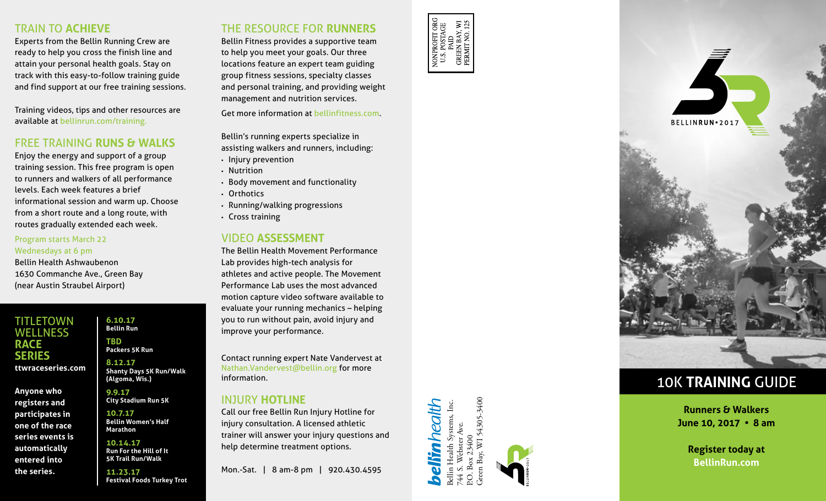## TRAIN TO **ACHIEVE**

Experts from the Bellin Running Crew are ready to help you cross the finish line and attain your personal health goals. Stay on track with this easy-to-follow training guide and find support at our free training sessions.

Training videos, tips and other resources are available at bellinrun.com/training.

## FREE TRAINING **RUNS & WALKS**

Enjoy the energy and support of a group training session. This free program is open to runners and walkers of all performance levels. Each week features a brief informational session and warm up. Choose from a short route and a long route, with routes gradually extended each week.

#### Program starts March 22 Wednesdays at 6 pm

Bellin Health Ashwaubenon 1630 Commanche Ave., Green Bay (near Austin Straubel Airport)

TITLETOWN **WELLNESS RACE SERIES ttwraceseries.com**

**Anyone who registers and participates in one of the race series events is automatically entered into the series.**

#### **6.10.17 Bellin Run TBD Packers 5K Run**

**8.12.17 Shanty Days 5K Run/Walk (Algoma, Wis.)**

**9.9.17 City Stadium Run 5K**

**10.7.17 Bellin Women's Half Marathon**

**10.14.17 Run For the Hill of It 5K Trail Run/Walk**

**11.23.17 Festival Foods Turkey Trot**

# THE RESOURCE FOR **RUNNERS**

Bellin Fitness provides a supportive team to help you meet your goals. Our three locations feature an expert team guiding group fitness sessions, specialty classes and personal training, and providing weight management and nutrition services.

Get more information at bellinfitness.com.

Bellin's running experts specialize in assisting walkers and runners, including: • Injury prevention

- 
- Nutrition
- Body movement and functionality
- Orthotics
- Running/walking progressions
- Cross training

### VIDEO **ASSESSMENT**

The Bellin Health Movement Performance Lab provides high-tech analysis for athletes and active people. The Movement Performance Lab uses the most advanced motion capture video software available to evaluate your running mechanics – helping you to run without pain, avoid injury and improve your performance.

Contact running expert Nate Vandervest at Nathan.Vandervest@bellin.org for more information.

### INJURY **HOTLINE**

Call our free Bellin Run Injury Hotline for injury consultation. A licensed athletic trainer will answer your injury questions and help determine treatment options.

Mon.-Sat. | 8 am-8 pm | 920.430.4595





# 10K **TRAINING** GUIDE

**Runners & Walkers June 10, 2017 • 8 am**

> **Register today at BellinRun.com**

54305-3400 Green Bay, WI 54305-3400 Bellin Health Systems, Inc. 3ellin Health Systems, Inc.<br>744 S. Webster Ave. eliinhealtl 744 S. Webster Ave. 23400 P.O. Box 23400  $\overline{\mathbb{X}}$  $_{\rm Box}$